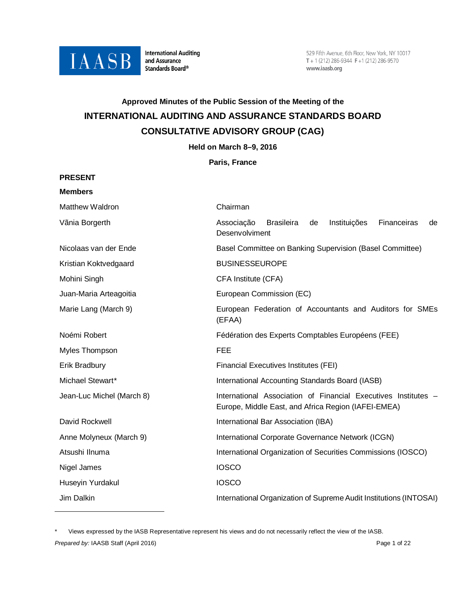

**PRESENT**

**International Auditing** and Assurance Standards Board®

529 Fifth Avenue, 6th Floor, New York, NY 10017  $T + 1(212) 286 - 9344$  F + 1 (212) 286-9570 www.iaasb.org

# **Approved Minutes of the Public Session of the Meeting of the INTERNATIONAL AUDITING AND ASSURANCE STANDARDS BOARD CONSULTATIVE ADVISORY GROUP (CAG)**

**Held on March 8–9, 2016**

**Paris, France**

| PREJENI                   |                                                                                                                       |
|---------------------------|-----------------------------------------------------------------------------------------------------------------------|
| <b>Members</b>            |                                                                                                                       |
| Matthew Waldron           | Chairman                                                                                                              |
| Vãnia Borgerth            | Associação<br><b>Brasileira</b><br>Instituições<br>Financeiras<br>de<br>de<br>Desenvolviment                          |
| Nicolaas van der Ende     | Basel Committee on Banking Supervision (Basel Committee)                                                              |
| Kristian Koktvedgaard     | <b>BUSINESSEUROPE</b>                                                                                                 |
| Mohini Singh              | CFA Institute (CFA)                                                                                                   |
| Juan-Maria Arteagoitia    | European Commission (EC)                                                                                              |
| Marie Lang (March 9)      | European Federation of Accountants and Auditors for SMEs<br>(EFAA)                                                    |
| Noémi Robert              | Fédération des Experts Comptables Européens (FEE)                                                                     |
| Myles Thompson            | <b>FEE</b>                                                                                                            |
| Erik Bradbury             | <b>Financial Executives Institutes (FEI)</b>                                                                          |
| Michael Stewart*          | International Accounting Standards Board (IASB)                                                                       |
| Jean-Luc Michel (March 8) | International Association of Financial Executives Institutes -<br>Europe, Middle East, and Africa Region (IAFEI-EMEA) |
| David Rockwell            | International Bar Association (IBA)                                                                                   |
| Anne Molyneux (March 9)   | International Corporate Governance Network (ICGN)                                                                     |
| Atsushi Ilnuma            | International Organization of Securities Commissions (IOSCO)                                                          |
| Nigel James               | <b>IOSCO</b>                                                                                                          |
| Huseyin Yurdakul          | <b>IOSCO</b>                                                                                                          |
| Jim Dalkin                | International Organization of Supreme Audit Institutions (INTOSAI)                                                    |
|                           |                                                                                                                       |

<span id="page-0-0"></span>**Prepared by: IAASB Staff (April 2016)** Page 1 of 22 Views expressed by the IASB Representative represent his views and do not necessarily reflect the view of the IASB.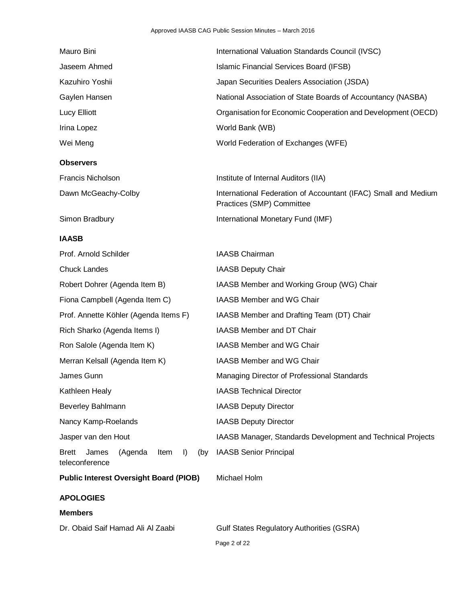#### Approved IAASB CAG Public Session Minutes – March 2016

| Mauro Bini               | International Valuation Standards Council (IVSC)                                            |
|--------------------------|---------------------------------------------------------------------------------------------|
| Jaseem Ahmed             | Islamic Financial Services Board (IFSB)                                                     |
| Kazuhiro Yoshii          | Japan Securities Dealers Association (JSDA)                                                 |
| Gaylen Hansen            | National Association of State Boards of Accountancy (NASBA)                                 |
| Lucy Elliott             | Organisation for Economic Cooperation and Development (OECD)                                |
| Irina Lopez              | World Bank (WB)                                                                             |
| Wei Meng                 | World Federation of Exchanges (WFE)                                                         |
| <b>Observers</b>         |                                                                                             |
| <b>Francis Nicholson</b> | Institute of Internal Auditors (IIA)                                                        |
| Dawn McGeachy-Colby      | International Federation of Accountant (IFAC) Small and Medium<br>Practices (SMP) Committee |
| Simon Bradbury           | International Monetary Fund (IMF)                                                           |
| <b>IAASB</b>             |                                                                                             |

| Prof. Arnold Schilder                                                        | <b>IAASB Chairman</b>                                       |
|------------------------------------------------------------------------------|-------------------------------------------------------------|
| <b>Chuck Landes</b>                                                          | <b>IAASB Deputy Chair</b>                                   |
| Robert Dohrer (Agenda Item B)                                                | IAASB Member and Working Group (WG) Chair                   |
| Fiona Campbell (Agenda Item C)                                               | IAASB Member and WG Chair                                   |
| Prof. Annette Köhler (Agenda Items F)                                        | IAASB Member and Drafting Team (DT) Chair                   |
| Rich Sharko (Agenda Items I)                                                 | IAASB Member and DT Chair                                   |
| Ron Salole (Agenda Item K)                                                   | <b>IAASB Member and WG Chair</b>                            |
| Merran Kelsall (Agenda Item K)                                               | IAASB Member and WG Chair                                   |
| James Gunn                                                                   | Managing Director of Professional Standards                 |
| Kathleen Healy                                                               | <b>IAASB Technical Director</b>                             |
| Beverley Bahlmann                                                            | <b>IAASB Deputy Director</b>                                |
| Nancy Kamp-Roelands                                                          | <b>IAASB Deputy Director</b>                                |
| Jasper van den Hout                                                          | IAASB Manager, Standards Development and Technical Projects |
| (Agenda<br><b>Brett</b><br>James<br>Item<br>$\vert$<br>(by<br>teleconference | <b>IAASB Senior Principal</b>                               |
| <b>Public Interest Oversight Board (PIOB)</b>                                | Michael Holm                                                |
| <b>APOLOGIES</b>                                                             |                                                             |
| <b>Members</b>                                                               |                                                             |
| Dr. Obaid Saif Hamad Ali Al Zaabi                                            | <b>Gulf States Regulatory Authorities (GSRA)</b>            |
|                                                                              | Page 2 of 22                                                |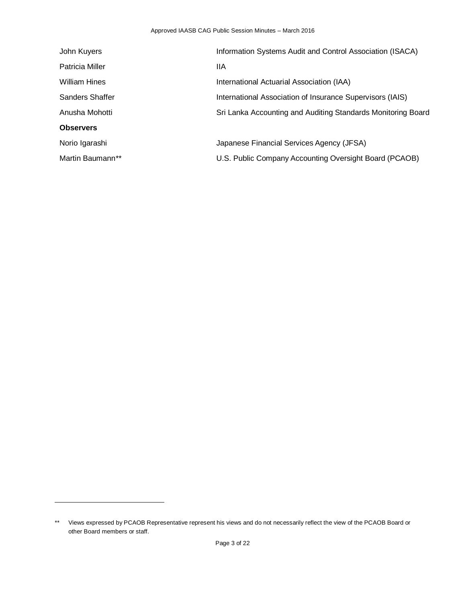| John Kuyers      | Information Systems Audit and Control Association (ISACA)    |
|------------------|--------------------------------------------------------------|
| Patricia Miller  | llА                                                          |
| William Hines    | International Actuarial Association (IAA)                    |
| Sanders Shaffer  | International Association of Insurance Supervisors (IAIS)    |
| Anusha Mohotti   | Sri Lanka Accounting and Auditing Standards Monitoring Board |
| <b>Observers</b> |                                                              |
| Norio Igarashi   | Japanese Financial Services Agency (JFSA)                    |
| Martin Baumann** | U.S. Public Company Accounting Oversight Board (PCAOB)       |

<span id="page-2-0"></span><sup>\*\*</sup> Views expressed by PCAOB Representative represent his views and do not necessarily reflect the view of the PCAOB Board or other Board members or staff.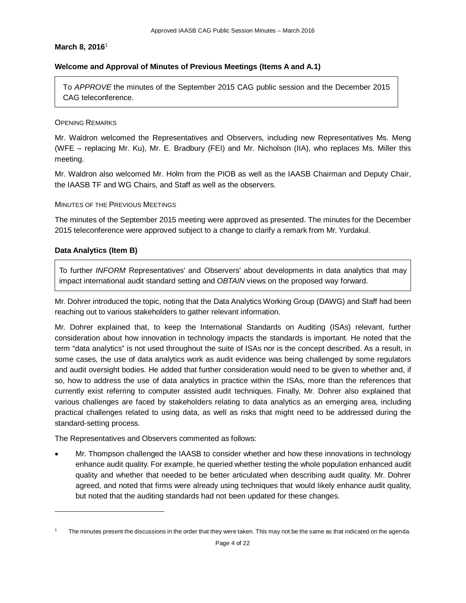### **March 8, 2016**[1](#page-3-0)

### **Welcome and Approval of Minutes of Previous Meetings (Items A and A.1)**

To *APPROVE* the minutes of the September 2015 CAG public session and the December 2015 CAG teleconference.

#### OPENING REMARKS

Mr. Waldron welcomed the Representatives and Observers, including new Representatives Ms. Meng (WFE – replacing Mr. Ku), Mr. E. Bradbury (FEI) and Mr. Nicholson (IIA), who replaces Ms. Miller this meeting.

Mr. Waldron also welcomed Mr. Holm from the PIOB as well as the IAASB Chairman and Deputy Chair, the IAASB TF and WG Chairs, and Staff as well as the observers.

#### MINUTES OF THE PREVIOUS MEETINGS

The minutes of the September 2015 meeting were approved as presented. The minutes for the December 2015 teleconference were approved subject to a change to clarify a remark from Mr. Yurdakul.

### **Data Analytics (Item B)**

 $\overline{a}$ 

To further *INFORM* Representatives' and Observers' about developments in data analytics that may impact international audit standard setting and *OBTAIN* views on the proposed way forward.

Mr. Dohrer introduced the topic, noting that the Data Analytics Working Group (DAWG) and Staff had been reaching out to various stakeholders to gather relevant information.

Mr. Dohrer explained that, to keep the International Standards on Auditing (ISAs) relevant, further consideration about how innovation in technology impacts the standards is important. He noted that the term "data analytics" is not used throughout the suite of ISAs nor is the concept described. As a result, in some cases, the use of data analytics work as audit evidence was being challenged by some regulators and audit oversight bodies. He added that further consideration would need to be given to whether and, if so, how to address the use of data analytics in practice within the ISAs, more than the references that currently exist referring to computer assisted audit techniques. Finally, Mr. Dohrer also explained that various challenges are faced by stakeholders relating to data analytics as an emerging area, including practical challenges related to using data, as well as risks that might need to be addressed during the standard-setting process.

The Representatives and Observers commented as follows:

• Mr. Thompson challenged the IAASB to consider whether and how these innovations in technology enhance audit quality. For example, he queried whether testing the whole population enhanced audit quality and whether that needed to be better articulated when describing audit quality. Mr. Dohrer agreed, and noted that firms were already using techniques that would likely enhance audit quality, but noted that the auditing standards had not been updated for these changes.

<span id="page-3-0"></span>The minutes present the discussions in the order that they were taken. This may not be the same as that indicated on the agenda.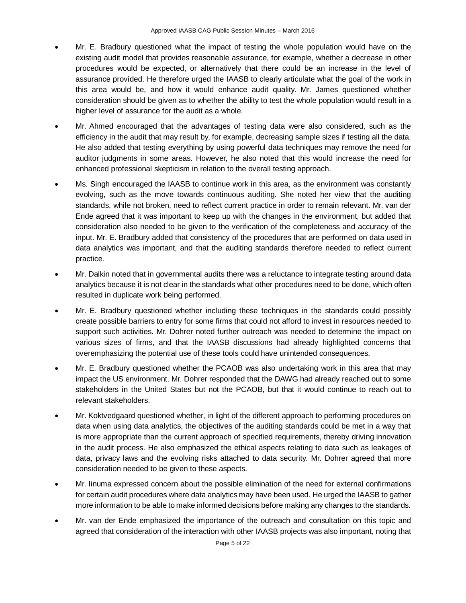- Mr. E. Bradbury questioned what the impact of testing the whole population would have on the existing audit model that provides reasonable assurance, for example, whether a decrease in other procedures would be expected, or alternatively that there could be an increase in the level of assurance provided. He therefore urged the IAASB to clearly articulate what the goal of the work in this area would be, and how it would enhance audit quality. Mr. James questioned whether consideration should be given as to whether the ability to test the whole population would result in a higher level of assurance for the audit as a whole.
- Mr. Ahmed encouraged that the advantages of testing data were also considered, such as the efficiency in the audit that may result by, for example, decreasing sample sizes if testing all the data. He also added that testing everything by using powerful data techniques may remove the need for auditor judgments in some areas. However, he also noted that this would increase the need for enhanced professional skepticism in relation to the overall testing approach.
- Ms. Singh encouraged the IAASB to continue work in this area, as the environment was constantly evolving, such as the move towards continuous auditing. She noted her view that the auditing standards, while not broken, need to reflect current practice in order to remain relevant. Mr. van der Ende agreed that it was important to keep up with the changes in the environment, but added that consideration also needed to be given to the verification of the completeness and accuracy of the input. Mr. E. Bradbury added that consistency of the procedures that are performed on data used in data analytics was important, and that the auditing standards therefore needed to reflect current practice.
- Mr. Dalkin noted that in governmental audits there was a reluctance to integrate testing around data analytics because it is not clear in the standards what other procedures need to be done, which often resulted in duplicate work being performed.
- Mr. E. Bradbury questioned whether including these techniques in the standards could possibly create possible barriers to entry for some firms that could not afford to invest in resources needed to support such activities. Mr. Dohrer noted further outreach was needed to determine the impact on various sizes of firms, and that the IAASB discussions had already highlighted concerns that overemphasizing the potential use of these tools could have unintended consequences.
- Mr. E. Bradbury questioned whether the PCAOB was also undertaking work in this area that may impact the US environment. Mr. Dohrer responded that the DAWG had already reached out to some stakeholders in the United States but not the PCAOB, but that it would continue to reach out to relevant stakeholders.
- Mr. Koktvedgaard questioned whether, in light of the different approach to performing procedures on data when using data analytics, the objectives of the auditing standards could be met in a way that is more appropriate than the current approach of specified requirements, thereby driving innovation in the audit process. He also emphasized the ethical aspects relating to data such as leakages of data, privacy laws and the evolving risks attached to data security. Mr. Dohrer agreed that more consideration needed to be given to these aspects.
- Mr. Iinuma expressed concern about the possible elimination of the need for external confirmations for certain audit procedures where data analytics may have been used. He urged the IAASB to gather more information to be able to make informed decisions before making any changes to the standards.
- Mr. van der Ende emphasized the importance of the outreach and consultation on this topic and agreed that consideration of the interaction with other IAASB projects was also important, noting that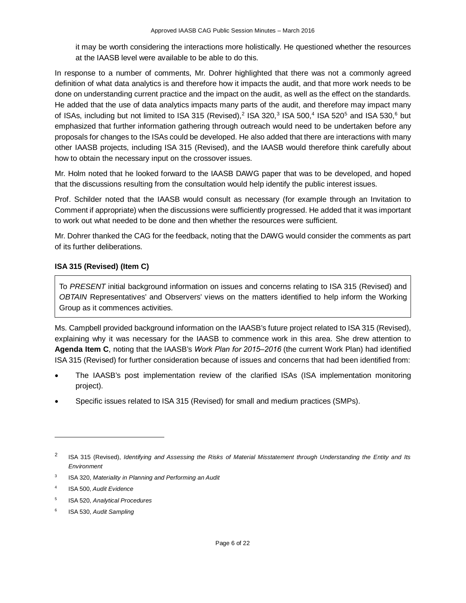it may be worth considering the interactions more holistically. He questioned whether the resources at the IAASB level were available to be able to do this.

In response to a number of comments, Mr. Dohrer highlighted that there was not a commonly agreed definition of what data analytics is and therefore how it impacts the audit, and that more work needs to be done on understanding current practice and the impact on the audit, as well as the effect on the standards. He added that the use of data analytics impacts many parts of the audit, and therefore may impact many of ISAs, including but not limited to ISA 315 (Revised),<sup>[2](#page-5-0)</sup> ISA [3](#page-5-1)20,<sup>3</sup> ISA 500,<sup>[4](#page-5-2)</sup> ISA [5](#page-5-3)20<sup>5</sup> and ISA 530,<sup>[6](#page-5-4)</sup> but emphasized that further information gathering through outreach would need to be undertaken before any proposals for changes to the ISAs could be developed. He also added that there are interactions with many other IAASB projects, including ISA 315 (Revised), and the IAASB would therefore think carefully about how to obtain the necessary input on the crossover issues.

Mr. Holm noted that he looked forward to the IAASB DAWG paper that was to be developed, and hoped that the discussions resulting from the consultation would help identify the public interest issues.

Prof. Schilder noted that the IAASB would consult as necessary (for example through an Invitation to Comment if appropriate) when the discussions were sufficiently progressed. He added that it was important to work out what needed to be done and then whether the resources were sufficient.

Mr. Dohrer thanked the CAG for the feedback, noting that the DAWG would consider the comments as part of its further deliberations.

### **ISA 315 (Revised) (Item C)**

To *PRESENT* initial background information on issues and concerns relating to ISA 315 (Revised) and *OBTAIN* Representatives' and Observers' views on the matters identified to help inform the Working Group as it commences activities.

Ms. Campbell provided background information on the IAASB's future project related to ISA 315 (Revised), explaining why it was necessary for the IAASB to commence work in this area. She drew attention to **Agenda Item C**, noting that the IAASB's *Work Plan for 2015‒2016* (the current Work Plan) had identified ISA 315 (Revised) for further consideration because of issues and concerns that had been identified from:

- The IAASB's post implementation review of the clarified ISAs (ISA implementation monitoring project).
- Specific issues related to ISA 315 (Revised) for small and medium practices (SMPs).

<span id="page-5-0"></span><sup>2</sup> ISA 315 (Revised), *Identifying and Assessing the Risks of Material Misstatement through Understanding the Entity and Its Environment* 

<span id="page-5-1"></span><sup>3</sup> ISA 320, *Materiality in Planning and Performing an Audit*

<span id="page-5-2"></span><sup>4</sup> ISA 500, *Audit Evidence*

<span id="page-5-3"></span><sup>5</sup> ISA 520, *Analytical Procedures*

<span id="page-5-4"></span><sup>6</sup> ISA 530, *Audit Sampling*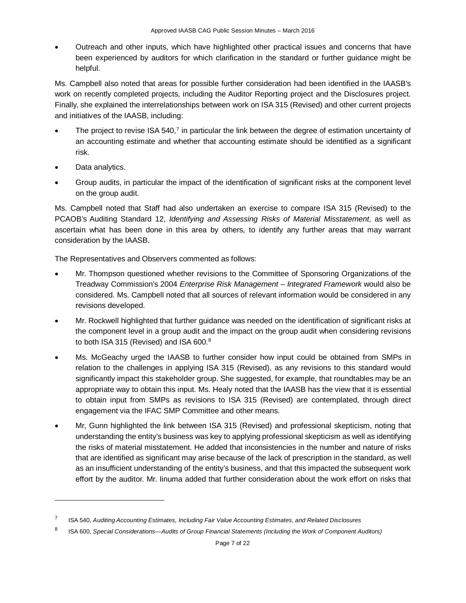• Outreach and other inputs, which have highlighted other practical issues and concerns that have been experienced by auditors for which clarification in the standard or further guidance might be helpful.

Ms. Campbell also noted that areas for possible further consideration had been identified in the IAASB's work on recently completed projects, including the Auditor Reporting project and the Disclosures project. Finally, she explained the interrelationships between work on ISA 315 (Revised) and other current projects and initiatives of the IAASB, including:

- The project to revise ISA 540, $<sup>7</sup>$  $<sup>7</sup>$  $<sup>7</sup>$  in particular the link between the degree of estimation uncertainty of</sup> an accounting estimate and whether that accounting estimate should be identified as a significant risk.
- Data analytics.

 $\overline{a}$ 

• Group audits, in particular the impact of the identification of significant risks at the component level on the group audit.

Ms. Campbell noted that Staff had also undertaken an exercise to compare ISA 315 (Revised) to the PCAOB's Auditing Standard 12, *Identifying and Assessing Risks of Material Misstatement*, as well as ascertain what has been done in this area by others, to identify any further areas that may warrant consideration by the IAASB.

- Mr. Thompson questioned whether revisions to the Committee of Sponsoring Organizations of the Treadway Commission's 2004 *Enterprise Risk Management – Integrated Framework* would also be considered. Ms. Campbell noted that all sources of relevant information would be considered in any revisions developed.
- Mr. Rockwell highlighted that further guidance was needed on the identification of significant risks at the component level in a group audit and the impact on the group audit when considering revisions to both ISA 315 (Revised) and ISA 600.<sup>[8](#page-6-1)</sup>
- Ms. McGeachy urged the IAASB to further consider how input could be obtained from SMPs in relation to the challenges in applying ISA 315 (Revised), as any revisions to this standard would significantly impact this stakeholder group. She suggested, for example, that roundtables may be an appropriate way to obtain this input. Ms. Healy noted that the IAASB has the view that it is essential to obtain input from SMPs as revisions to ISA 315 (Revised) are contemplated, through direct engagement via the IFAC SMP Committee and other means.
- Mr, Gunn highlighted the link between ISA 315 (Revised) and professional skepticism, noting that understanding the entity's business was key to applying professional skepticism as well as identifying the risks of material misstatement. He added that inconsistencies in the number and nature of risks that are identified as significant may arise because of the lack of prescription in the standard, as well as an insufficient understanding of the entity's business, and that this impacted the subsequent work effort by the auditor. Mr. Iinuma added that further consideration about the work effort on risks that

<span id="page-6-0"></span><sup>7</sup> ISA 540, *Auditing Accounting Estimates, Including Fair Value Accounting Estimates, and Related Disclosures*

<span id="page-6-1"></span><sup>8</sup> ISA 600, *Special Considerations—Audits of Group Financial Statements (Including the Work of Component Auditors)*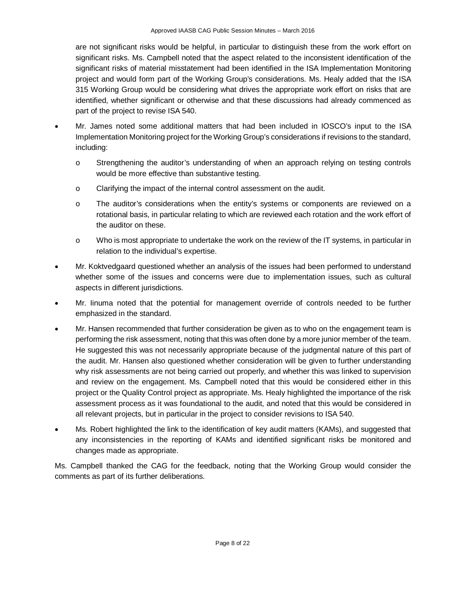are not significant risks would be helpful, in particular to distinguish these from the work effort on significant risks. Ms. Campbell noted that the aspect related to the inconsistent identification of the significant risks of material misstatement had been identified in the ISA Implementation Monitoring project and would form part of the Working Group's considerations. Ms. Healy added that the ISA 315 Working Group would be considering what drives the appropriate work effort on risks that are identified, whether significant or otherwise and that these discussions had already commenced as part of the project to revise ISA 540.

- Mr. James noted some additional matters that had been included in IOSCO's input to the ISA Implementation Monitoring project for the Working Group's considerations if revisions to the standard, including:
	- o Strengthening the auditor's understanding of when an approach relying on testing controls would be more effective than substantive testing.
	- o Clarifying the impact of the internal control assessment on the audit.
	- o The auditor's considerations when the entity's systems or components are reviewed on a rotational basis, in particular relating to which are reviewed each rotation and the work effort of the auditor on these.
	- o Who is most appropriate to undertake the work on the review of the IT systems, in particular in relation to the individual's expertise.
- Mr. Koktvedgaard questioned whether an analysis of the issues had been performed to understand whether some of the issues and concerns were due to implementation issues, such as cultural aspects in different jurisdictions.
- Mr. Iinuma noted that the potential for management override of controls needed to be further emphasized in the standard.
- Mr. Hansen recommended that further consideration be given as to who on the engagement team is performing the risk assessment, noting that this was often done by a more junior member of the team. He suggested this was not necessarily appropriate because of the judgmental nature of this part of the audit. Mr. Hansen also questioned whether consideration will be given to further understanding why risk assessments are not being carried out properly, and whether this was linked to supervision and review on the engagement. Ms. Campbell noted that this would be considered either in this project or the Quality Control project as appropriate. Ms. Healy highlighted the importance of the risk assessment process as it was foundational to the audit, and noted that this would be considered in all relevant projects, but in particular in the project to consider revisions to ISA 540.
- Ms. Robert highlighted the link to the identification of key audit matters (KAMs), and suggested that any inconsistencies in the reporting of KAMs and identified significant risks be monitored and changes made as appropriate.

Ms. Campbell thanked the CAG for the feedback, noting that the Working Group would consider the comments as part of its further deliberations.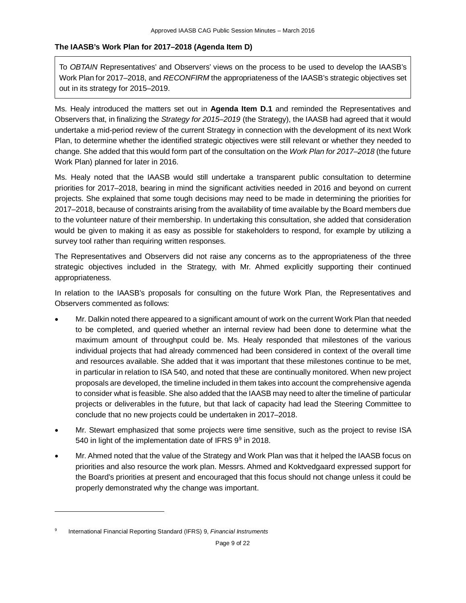### **The IAASB's Work Plan for 2017–2018 (Agenda Item D)**

To *OBTAIN* Representatives' and Observers' views on the process to be used to develop the IAASB's Work Plan for 2017–2018, and *RECONFIRM* the appropriateness of the IAASB's strategic objectives set out in its strategy for 2015–2019.

Ms. Healy introduced the matters set out in **Agenda Item D.1** and reminded the Representatives and Observers that, in finalizing the *Strategy for 2015–2019* (the Strategy), the IAASB had agreed that it would undertake a mid-period review of the current Strategy in connection with the development of its next Work Plan, to determine whether the identified strategic objectives were still relevant or whether they needed to change. She added that this would form part of the consultation on the *Work Plan for 2017–2018* (the future Work Plan) planned for later in 2016.

Ms. Healy noted that the IAASB would still undertake a transparent public consultation to determine priorities for 2017–2018, bearing in mind the significant activities needed in 2016 and beyond on current projects. She explained that some tough decisions may need to be made in determining the priorities for 2017–2018, because of constraints arising from the availability of time available by the Board members due to the volunteer nature of their membership. In undertaking this consultation, she added that consideration would be given to making it as easy as possible for stakeholders to respond, for example by utilizing a survey tool rather than requiring written responses.

The Representatives and Observers did not raise any concerns as to the appropriateness of the three strategic objectives included in the Strategy, with Mr. Ahmed explicitly supporting their continued appropriateness.

In relation to the IAASB's proposals for consulting on the future Work Plan, the Representatives and Observers commented as follows:

- Mr. Dalkin noted there appeared to a significant amount of work on the current Work Plan that needed to be completed, and queried whether an internal review had been done to determine what the maximum amount of throughput could be. Ms. Healy responded that milestones of the various individual projects that had already commenced had been considered in context of the overall time and resources available. She added that it was important that these milestones continue to be met, in particular in relation to ISA 540, and noted that these are continually monitored. When new project proposals are developed, the timeline included in them takes into account the comprehensive agenda to consider what is feasible. She also added that the IAASB may need to alter the timeline of particular projects or deliverables in the future, but that lack of capacity had lead the Steering Committee to conclude that no new projects could be undertaken in 2017–2018.
- Mr. Stewart emphasized that some projects were time sensitive, such as the project to revise ISA 540 in light of the implementation date of IFRS  $9<sup>9</sup>$  $9<sup>9</sup>$  in 2018.
- Mr. Ahmed noted that the value of the Strategy and Work Plan was that it helped the IAASB focus on priorities and also resource the work plan. Messrs. Ahmed and Koktvedgaard expressed support for the Board's priorities at present and encouraged that this focus should not change unless it could be properly demonstrated why the change was important.

<span id="page-8-0"></span><sup>9</sup> International Financial Reporting Standard (IFRS) 9, *Financial Instruments*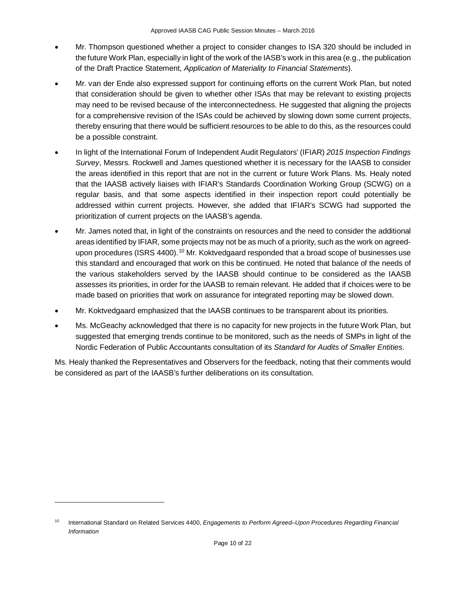- Mr. Thompson questioned whether a project to consider changes to ISA 320 should be included in the future Work Plan, especially in light of the work of the IASB's work in this area (e.g., the publication of the Draft Practice Statement, *Application of Materiality to Financial Statements*).
- Mr. van der Ende also expressed support for continuing efforts on the current Work Plan, but noted that consideration should be given to whether other ISAs that may be relevant to existing projects may need to be revised because of the interconnectedness. He suggested that aligning the projects for a comprehensive revision of the ISAs could be achieved by slowing down some current projects, thereby ensuring that there would be sufficient resources to be able to do this, as the resources could be a possible constraint.
- In light of the International Forum of Independent Audit Regulators' (IFIAR) *[2015 Inspection Findings](https://www.ifiar.org/IFIAR/media/Documents/General/About%20Us/IFIAR-2015-Survey-of-Inspection-Findings.pdf)  [Survey](https://www.ifiar.org/IFIAR/media/Documents/General/About%20Us/IFIAR-2015-Survey-of-Inspection-Findings.pdf)*, Messrs. Rockwell and James questioned whether it is necessary for the IAASB to consider the areas identified in this report that are not in the current or future Work Plans. Ms. Healy noted that the IAASB actively liaises with IFIAR's Standards Coordination Working Group (SCWG) on a regular basis, and that some aspects identified in their inspection report could potentially be addressed within current projects. However, she added that IFIAR's SCWG had supported the prioritization of current projects on the IAASB's agenda.
- Mr. James noted that, in light of the constraints on resources and the need to consider the additional areas identified by IFIAR, some projects may not be as much of a priority, such as the work on agreed-upon procedures (ISRS 4400).<sup>[10](#page-9-0)</sup> Mr. Koktvedgaard responded that a broad scope of businesses use this standard and encouraged that work on this be continued. He noted that balance of the needs of the various stakeholders served by the IAASB should continue to be considered as the IAASB assesses its priorities, in order for the IAASB to remain relevant. He added that if choices were to be made based on priorities that work on assurance for integrated reporting may be slowed down.
- Mr. Koktvedgaard emphasized that the IAASB continues to be transparent about its priorities.
- Ms. McGeachy acknowledged that there is no capacity for new projects in the future Work Plan, but suggested that emerging trends continue to be monitored, such as the needs of SMPs in light of the Nordic Federation of Public Accountants consultation of its *Standard for Audits of Smaller Entities*.

Ms. Healy thanked the Representatives and Observers for the feedback, noting that their comments would be considered as part of the IAASB's further deliberations on its consultation.

<span id="page-9-0"></span><sup>10</sup> International Standard on Related Services 4400, *Engagements to Perform Agreed–Upon Procedures Regarding Financial Information*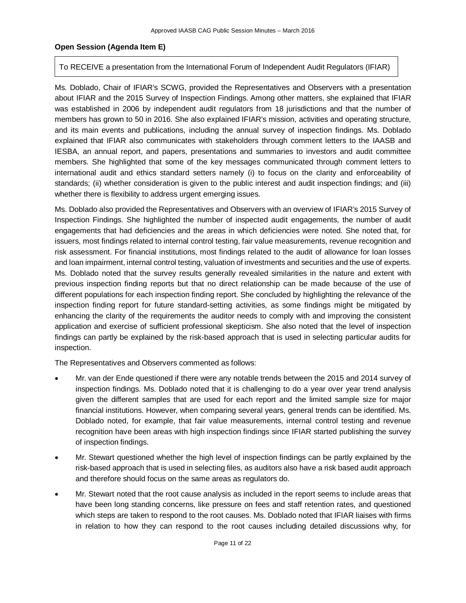### **Open Session (Agenda Item E)**

### To RECEIVE a presentation from the International Forum of Independent Audit Regulators (IFIAR)

Ms. Doblado, Chair of IFIAR's SCWG, provided the Representatives and Observers with a presentation about IFIAR and the 2015 Survey of Inspection Findings. Among other matters, she explained that IFIAR was established in 2006 by independent audit regulators from 18 jurisdictions and that the number of members has grown to 50 in 2016. She also explained IFIAR's mission, activities and operating structure, and its main events and publications, including the annual survey of inspection findings. Ms. Doblado explained that IFIAR also communicates with stakeholders through comment letters to the IAASB and IESBA, an annual report, and papers, presentations and summaries to investors and audit committee members. She highlighted that some of the key messages communicated through comment letters to international audit and ethics standard setters namely (i) to focus on the clarity and enforceability of standards; (ii) whether consideration is given to the public interest and audit inspection findings; and (iii) whether there is flexibility to address urgent emerging issues.

Ms. Doblado also provided the Representatives and Observers with an overview of IFIAR's 2015 Survey of Inspection Findings. She highlighted the number of inspected audit engagements, the number of audit engagements that had deficiencies and the areas in which deficiencies were noted. She noted that, for issuers, most findings related to internal control testing, fair value measurements, revenue recognition and risk assessment. For financial institutions, most findings related to the audit of allowance for loan losses and loan impairment, internal control testing, valuation of investments and securities and the use of experts. Ms. Doblado noted that the survey results generally revealed similarities in the nature and extent with previous inspection finding reports but that no direct relationship can be made because of the use of different populations for each inspection finding report. She concluded by highlighting the relevance of the inspection finding report for future standard-setting activities, as some findings might be mitigated by enhancing the clarity of the requirements the auditor needs to comply with and improving the consistent application and exercise of sufficient professional skepticism. She also noted that the level of inspection findings can partly be explained by the risk-based approach that is used in selecting particular audits for inspection.

- Mr. van der Ende questioned if there were any notable trends between the 2015 and 2014 survey of inspection findings. Ms. Doblado noted that it is challenging to do a year over year trend analysis given the different samples that are used for each report and the limited sample size for major financial institutions. However, when comparing several years, general trends can be identified. Ms. Doblado noted, for example, that fair value measurements, internal control testing and revenue recognition have been areas with high inspection findings since IFIAR started publishing the survey of inspection findings.
- Mr. Stewart questioned whether the high level of inspection findings can be partly explained by the risk-based approach that is used in selecting files, as auditors also have a risk based audit approach and therefore should focus on the same areas as regulators do.
- Mr. Stewart noted that the root cause analysis as included in the report seems to include areas that have been long standing concerns, like pressure on fees and staff retention rates, and questioned which steps are taken to respond to the root causes. Ms. Doblado noted that IFIAR liaises with firms in relation to how they can respond to the root causes including detailed discussions why, for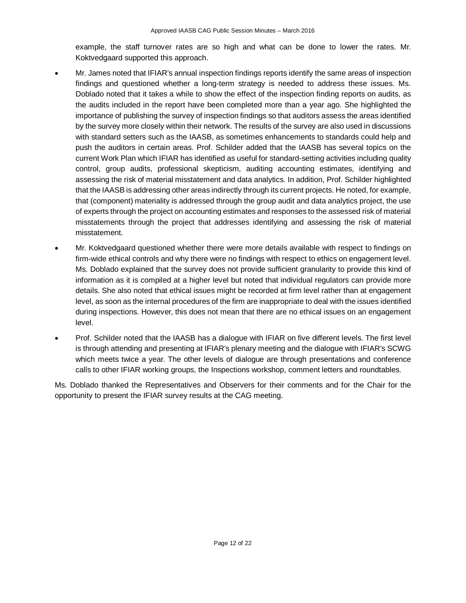example, the staff turnover rates are so high and what can be done to lower the rates. Mr. Koktvedgaard supported this approach.

- Mr. James noted that IFIAR's annual inspection findings reports identify the same areas of inspection findings and questioned whether a long-term strategy is needed to address these issues. Ms. Doblado noted that it takes a while to show the effect of the inspection finding reports on audits, as the audits included in the report have been completed more than a year ago. She highlighted the importance of publishing the survey of inspection findings so that auditors assess the areas identified by the survey more closely within their network. The results of the survey are also used in discussions with standard setters such as the IAASB, as sometimes enhancements to standards could help and push the auditors in certain areas. Prof. Schilder added that the IAASB has several topics on the current Work Plan which IFIAR has identified as useful for standard-setting activities including quality control, group audits, professional skepticism, auditing accounting estimates, identifying and assessing the risk of material misstatement and data analytics. In addition, Prof. Schilder highlighted that the IAASB is addressing other areas indirectly through its current projects. He noted, for example, that (component) materiality is addressed through the group audit and data analytics project, the use of experts through the project on accounting estimates and responses to the assessed risk of material misstatements through the project that addresses identifying and assessing the risk of material misstatement.
- Mr. Koktvedgaard questioned whether there were more details available with respect to findings on firm-wide ethical controls and why there were no findings with respect to ethics on engagement level. Ms. Doblado explained that the survey does not provide sufficient granularity to provide this kind of information as it is compiled at a higher level but noted that individual regulators can provide more details. She also noted that ethical issues might be recorded at firm level rather than at engagement level, as soon as the internal procedures of the firm are inappropriate to deal with the issues identified during inspections. However, this does not mean that there are no ethical issues on an engagement level.
- Prof. Schilder noted that the IAASB has a dialogue with IFIAR on five different levels. The first level is through attending and presenting at IFIAR's plenary meeting and the dialogue with IFIAR's SCWG which meets twice a year. The other levels of dialogue are through presentations and conference calls to other IFIAR working groups, the Inspections workshop, comment letters and roundtables.

Ms. Doblado thanked the Representatives and Observers for their comments and for the Chair for the opportunity to present the IFIAR survey results at the CAG meeting.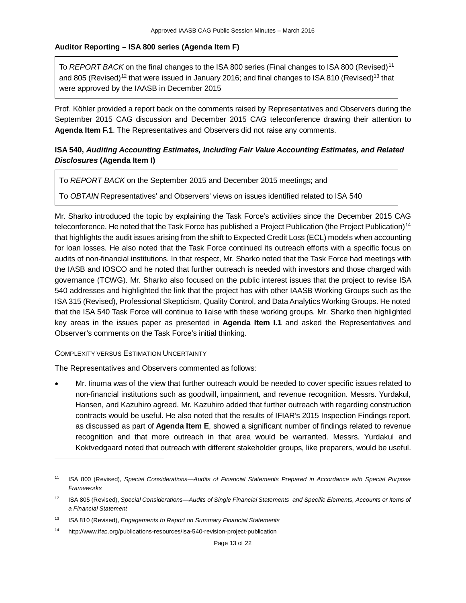### **Auditor Reporting – ISA 800 series (Agenda Item F)**

To *REPORT BACK* on the final changes to the ISA 800 series (Final changes to ISA 800 (Revised)<sup>[11](#page-12-0)</sup> and 805 (Revised)<sup>[12](#page-12-1)</sup> that were issued in January 2016; and final changes to ISA 810 (Revised)<sup>13</sup> that were approved by the IAASB in December 2015

Prof. Köhler provided a report back on the comments raised by Representatives and Observers during the September 2015 CAG discussion and December 2015 CAG teleconference drawing their attention to **Agenda Item F.1**. The Representatives and Observers did not raise any comments.

# **ISA 540,** *Auditing Accounting Estimates, Including Fair Value Accounting Estimates, and Related Disclosures* **(Agenda Item I)**

To *REPORT BACK* on the September 2015 and December 2015 meetings; and

To *OBTAIN* Representatives' and Observers' views on issues identified related to ISA 540

Mr. Sharko introduced the topic by explaining the Task Force's activities since the December 2015 CAG teleconference. He noted that the Task Force has published a Project Publication (the Project Publication)<sup>[14](#page-12-3)</sup> that highlights the audit issues arising from the shift to Expected Credit Loss (ECL) models when accounting for loan losses. He also noted that the Task Force continued its outreach efforts with a specific focus on audits of non-financial institutions. In that respect, Mr. Sharko noted that the Task Force had meetings with the IASB and IOSCO and he noted that further outreach is needed with investors and those charged with governance (TCWG). Mr. Sharko also focused on the public interest issues that the project to revise ISA 540 addresses and highlighted the link that the project has with other IAASB Working Groups such as the ISA 315 (Revised), Professional Skepticism, Quality Control, and Data Analytics Working Groups. He noted that the ISA 540 Task Force will continue to liaise with these working groups. Mr. Sharko then highlighted key areas in the issues paper as presented in **Agenda Item I.1** and asked the Representatives and Observer's comments on the Task Force's initial thinking.

### COMPLEXITY VERSUS ESTIMATION UNCERTAINTY

 $\overline{a}$ 

The Representatives and Observers commented as follows:

• Mr. Iinuma was of the view that further outreach would be needed to cover specific issues related to non-financial institutions such as goodwill, impairment, and revenue recognition. Messrs. Yurdakul, Hansen, and Kazuhiro agreed. Mr. Kazuhiro added that further outreach with regarding construction contracts would be useful. He also noted that the results of IFIAR's 2015 Inspection Findings report, as discussed as part of **Agenda Item E**, showed a significant number of findings related to revenue recognition and that more outreach in that area would be warranted. Messrs. Yurdakul and Koktvedgaard noted that outreach with different stakeholder groups, like preparers, would be useful.

<span id="page-12-0"></span><sup>11</sup> ISA 800 (Revised), *Special Considerations—Audits of Financial Statements Prepared in Accordance with Special Purpose Frameworks*

<span id="page-12-1"></span><sup>12</sup> ISA 805 (Revised), *Special Considerations—Audits of Single Financial Statements and Specific Elements, Accounts or Items of a Financial Statement*

<span id="page-12-2"></span><sup>13</sup> ISA 810 (Revised), *Engagements to Report on Summary Financial Statements*

<span id="page-12-3"></span><sup>14</sup> <http://www.ifac.org/publications-resources/isa-540-revision-project-publication>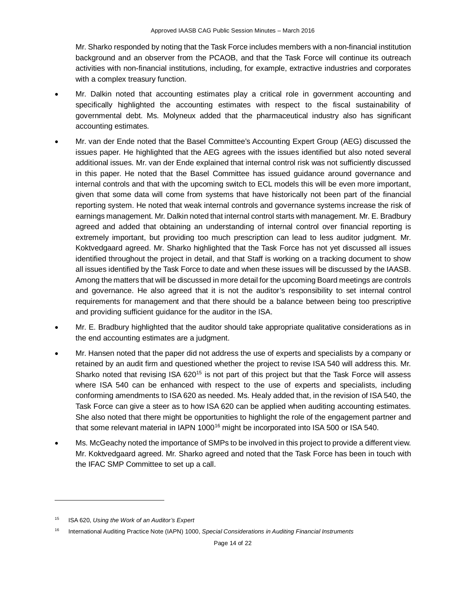Mr. Sharko responded by noting that the Task Force includes members with a non-financial institution background and an observer from the PCAOB, and that the Task Force will continue its outreach activities with non-financial institutions, including, for example, extractive industries and corporates with a complex treasury function.

- Mr. Dalkin noted that accounting estimates play a critical role in government accounting and specifically highlighted the accounting estimates with respect to the fiscal sustainability of governmental debt. Ms. Molyneux added that the pharmaceutical industry also has significant accounting estimates.
- Mr. van der Ende noted that the Basel Committee's Accounting Expert Group (AEG) discussed the issues paper. He highlighted that the AEG agrees with the issues identified but also noted several additional issues. Mr. van der Ende explained that internal control risk was not sufficiently discussed in this paper. He noted that the Basel Committee has issued guidance around governance and internal controls and that with the upcoming switch to ECL models this will be even more important, given that some data will come from systems that have historically not been part of the financial reporting system. He noted that weak internal controls and governance systems increase the risk of earnings management. Mr. Dalkin noted that internal control starts with management. Mr. E. Bradbury agreed and added that obtaining an understanding of internal control over financial reporting is extremely important, but providing too much prescription can lead to less auditor judgment. Mr. Koktvedgaard agreed. Mr. Sharko highlighted that the Task Force has not yet discussed all issues identified throughout the project in detail, and that Staff is working on a tracking document to show all issues identified by the Task Force to date and when these issues will be discussed by the IAASB. Among the matters that will be discussed in more detail for the upcoming Board meetings are controls and governance. He also agreed that it is not the auditor's responsibility to set internal control requirements for management and that there should be a balance between being too prescriptive and providing sufficient guidance for the auditor in the ISA.
- Mr. E. Bradbury highlighted that the auditor should take appropriate qualitative considerations as in the end accounting estimates are a judgment.
- Mr. Hansen noted that the paper did not address the use of experts and specialists by a company or retained by an audit firm and questioned whether the project to revise ISA 540 will address this. Mr. Sharko noted that revising ISA 620<sup>[15](#page-13-0)</sup> is not part of this project but that the Task Force will assess where ISA 540 can be enhanced with respect to the use of experts and specialists, including conforming amendments to ISA 620 as needed. Ms. Healy added that, in the revision of ISA 540, the Task Force can give a steer as to how ISA 620 can be applied when auditing accounting estimates. She also noted that there might be opportunities to highlight the role of the engagement partner and that some relevant material in IAPN 1000<sup>[16](#page-13-1)</sup> might be incorporated into ISA 500 or ISA 540.
- Ms. McGeachy noted the importance of SMPs to be involved in this project to provide a different view. Mr. Koktvedgaard agreed. Mr. Sharko agreed and noted that the Task Force has been in touch with the IFAC SMP Committee to set up a call.

<span id="page-13-0"></span><sup>15</sup> ISA 620, *Using the Work of an Auditor's Expert*

<span id="page-13-1"></span><sup>16</sup> International Auditing Practice Note (IAPN) 1000, *Special Considerations in Auditing Financial Instruments*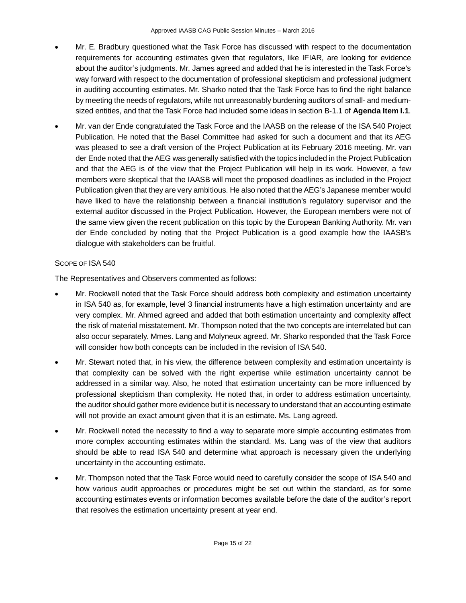- Mr. E. Bradbury questioned what the Task Force has discussed with respect to the documentation requirements for accounting estimates given that regulators, like IFIAR, are looking for evidence about the auditor's judgments. Mr. James agreed and added that he is interested in the Task Force's way forward with respect to the documentation of professional skepticism and professional judgment in auditing accounting estimates. Mr. Sharko noted that the Task Force has to find the right balance by meeting the needs of regulators, while not unreasonably burdening auditors of small- and mediumsized entities, and that the Task Force had included some ideas in section B-1.1 of **Agenda Item I.1**.
- Mr. van der Ende congratulated the Task Force and the IAASB on the release of the ISA 540 Project Publication. He noted that the Basel Committee had asked for such a document and that its AEG was pleased to see a draft version of the Project Publication at its February 2016 meeting. Mr. van der Ende noted that the AEG was generally satisfied with the topics included in the Project Publication and that the AEG is of the view that the Project Publication will help in its work. However, a few members were skeptical that the IAASB will meet the proposed deadlines as included in the Project Publication given that they are very ambitious. He also noted that the AEG's Japanese member would have liked to have the relationship between a financial institution's regulatory supervisor and the external auditor discussed in the Project Publication. However, the European members were not of the same view given the recent publication on this topic by the European Banking Authority. Mr. van der Ende concluded by noting that the Project Publication is a good example how the IAASB's dialogue with stakeholders can be fruitful.

# SCOPE OF ISA 540

- Mr. Rockwell noted that the Task Force should address both complexity and estimation uncertainty in ISA 540 as, for example, level 3 financial instruments have a high estimation uncertainty and are very complex. Mr. Ahmed agreed and added that both estimation uncertainty and complexity affect the risk of material misstatement. Mr. Thompson noted that the two concepts are interrelated but can also occur separately. Mmes. Lang and Molyneux agreed. Mr. Sharko responded that the Task Force will consider how both concepts can be included in the revision of ISA 540.
- Mr. Stewart noted that, in his view, the difference between complexity and estimation uncertainty is that complexity can be solved with the right expertise while estimation uncertainty cannot be addressed in a similar way. Also, he noted that estimation uncertainty can be more influenced by professional skepticism than complexity. He noted that, in order to address estimation uncertainty, the auditor should gather more evidence but it is necessary to understand that an accounting estimate will not provide an exact amount given that it is an estimate. Ms. Lang agreed.
- Mr. Rockwell noted the necessity to find a way to separate more simple accounting estimates from more complex accounting estimates within the standard. Ms. Lang was of the view that auditors should be able to read ISA 540 and determine what approach is necessary given the underlying uncertainty in the accounting estimate.
- Mr. Thompson noted that the Task Force would need to carefully consider the scope of ISA 540 and how various audit approaches or procedures might be set out within the standard, as for some accounting estimates events or information becomes available before the date of the auditor's report that resolves the estimation uncertainty present at year end.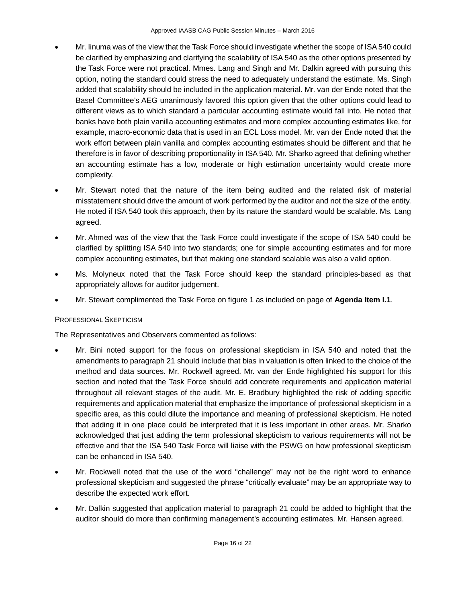- Mr. Iinuma was of the view that the Task Force should investigate whether the scope of ISA 540 could be clarified by emphasizing and clarifying the scalability of ISA 540 as the other options presented by the Task Force were not practical. Mmes. Lang and Singh and Mr. Dalkin agreed with pursuing this option, noting the standard could stress the need to adequately understand the estimate. Ms. Singh added that scalability should be included in the application material. Mr. van der Ende noted that the Basel Committee's AEG unanimously favored this option given that the other options could lead to different views as to which standard a particular accounting estimate would fall into. He noted that banks have both plain vanilla accounting estimates and more complex accounting estimates like, for example, macro-economic data that is used in an ECL Loss model. Mr. van der Ende noted that the work effort between plain vanilla and complex accounting estimates should be different and that he therefore is in favor of describing proportionality in ISA 540. Mr. Sharko agreed that defining whether an accounting estimate has a low, moderate or high estimation uncertainty would create more complexity.
- Mr. Stewart noted that the nature of the item being audited and the related risk of material misstatement should drive the amount of work performed by the auditor and not the size of the entity. He noted if ISA 540 took this approach, then by its nature the standard would be scalable. Ms. Lang agreed.
- Mr. Ahmed was of the view that the Task Force could investigate if the scope of ISA 540 could be clarified by splitting ISA 540 into two standards; one for simple accounting estimates and for more complex accounting estimates, but that making one standard scalable was also a valid option.
- Ms. Molyneux noted that the Task Force should keep the standard principles-based as that appropriately allows for auditor judgement.
- Mr. Stewart complimented the Task Force on figure 1 as included on page of **Agenda Item I.1**.

# PROFESSIONAL SKEPTICISM

- Mr. Bini noted support for the focus on professional skepticism in ISA 540 and noted that the amendments to paragraph 21 should include that bias in valuation is often linked to the choice of the method and data sources. Mr. Rockwell agreed. Mr. van der Ende highlighted his support for this section and noted that the Task Force should add concrete requirements and application material throughout all relevant stages of the audit. Mr. E. Bradbury highlighted the risk of adding specific requirements and application material that emphasize the importance of professional skepticism in a specific area, as this could dilute the importance and meaning of professional skepticism. He noted that adding it in one place could be interpreted that it is less important in other areas. Mr. Sharko acknowledged that just adding the term professional skepticism to various requirements will not be effective and that the ISA 540 Task Force will liaise with the PSWG on how professional skepticism can be enhanced in ISA 540.
- Mr. Rockwell noted that the use of the word "challenge" may not be the right word to enhance professional skepticism and suggested the phrase "critically evaluate" may be an appropriate way to describe the expected work effort.
- Mr. Dalkin suggested that application material to paragraph 21 could be added to highlight that the auditor should do more than confirming management's accounting estimates. Mr. Hansen agreed.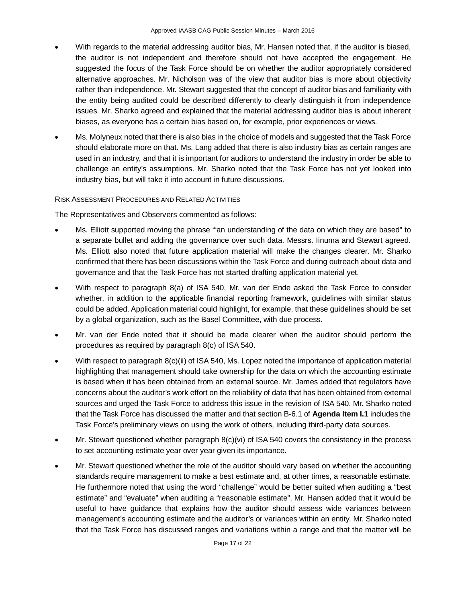- With regards to the material addressing auditor bias, Mr. Hansen noted that, if the auditor is biased, the auditor is not independent and therefore should not have accepted the engagement. He suggested the focus of the Task Force should be on whether the auditor appropriately considered alternative approaches. Mr. Nicholson was of the view that auditor bias is more about objectivity rather than independence. Mr. Stewart suggested that the concept of auditor bias and familiarity with the entity being audited could be described differently to clearly distinguish it from independence issues. Mr. Sharko agreed and explained that the material addressing auditor bias is about inherent biases, as everyone has a certain bias based on, for example, prior experiences or views.
- Ms. Molyneux noted that there is also bias in the choice of models and suggested that the Task Force should elaborate more on that. Ms. Lang added that there is also industry bias as certain ranges are used in an industry, and that it is important for auditors to understand the industry in order be able to challenge an entity's assumptions. Mr. Sharko noted that the Task Force has not yet looked into industry bias, but will take it into account in future discussions.

### RISK ASSESSMENT PROCEDURES AND RELATED ACTIVITIES

- Ms. Elliott supported moving the phrase '"an understanding of the data on which they are based" to a separate bullet and adding the governance over such data. Messrs. Iinuma and Stewart agreed. Ms. Elliott also noted that future application material will make the changes clearer. Mr. Sharko confirmed that there has been discussions within the Task Force and during outreach about data and governance and that the Task Force has not started drafting application material yet.
- With respect to paragraph 8(a) of ISA 540, Mr. van der Ende asked the Task Force to consider whether, in addition to the applicable financial reporting framework, guidelines with similar status could be added. Application material could highlight, for example, that these guidelines should be set by a global organization, such as the Basel Committee, with due process.
- Mr. van der Ende noted that it should be made clearer when the auditor should perform the procedures as required by paragraph 8(c) of ISA 540.
- With respect to paragraph 8(c)(ii) of ISA 540, Ms. Lopez noted the importance of application material highlighting that management should take ownership for the data on which the accounting estimate is based when it has been obtained from an external source. Mr. James added that regulators have concerns about the auditor's work effort on the reliability of data that has been obtained from external sources and urged the Task Force to address this issue in the revision of ISA 540. Mr. Sharko noted that the Task Force has discussed the matter and that section B-6.1 of **Agenda Item I.1** includes the Task Force's preliminary views on using the work of others, including third-party data sources.
- Mr. Stewart questioned whether paragraph  $8(c)(vi)$  of ISA 540 covers the consistency in the process to set accounting estimate year over year given its importance.
- Mr. Stewart questioned whether the role of the auditor should vary based on whether the accounting standards require management to make a best estimate and, at other times, a reasonable estimate. He furthermore noted that using the word "challenge" would be better suited when auditing a "best estimate" and "evaluate" when auditing a "reasonable estimate". Mr. Hansen added that it would be useful to have guidance that explains how the auditor should assess wide variances between management's accounting estimate and the auditor's or variances within an entity. Mr. Sharko noted that the Task Force has discussed ranges and variations within a range and that the matter will be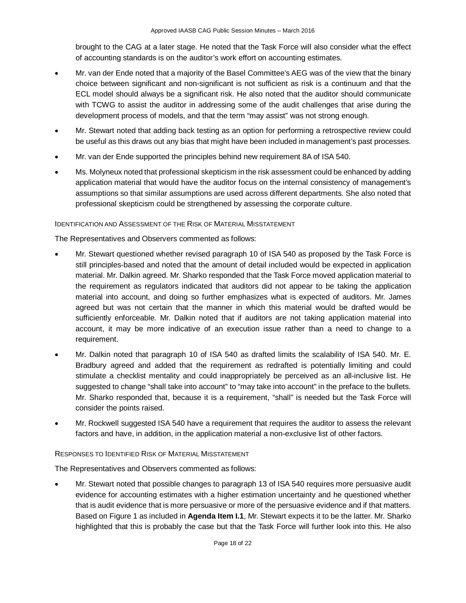brought to the CAG at a later stage. He noted that the Task Force will also consider what the effect of accounting standards is on the auditor's work effort on accounting estimates.

- Mr. van der Ende noted that a majority of the Basel Committee's AEG was of the view that the binary choice between significant and non-significant is not sufficient as risk is a continuum and that the ECL model should always be a significant risk. He also noted that the auditor should communicate with TCWG to assist the auditor in addressing some of the audit challenges that arise during the development process of models, and that the term "may assist" was not strong enough.
- Mr. Stewart noted that adding back testing as an option for performing a retrospective review could be useful as this draws out any bias that might have been included in management's past processes.
- Mr. van der Ende supported the principles behind new requirement 8A of ISA 540.
- Ms. Molyneux noted that professional skepticism in the risk assessment could be enhanced by adding application material that would have the auditor focus on the internal consistency of management's assumptions so that similar assumptions are used across different departments. She also noted that professional skepticism could be strengthened by assessing the corporate culture.

### IDENTIFICATION AND ASSESSMENT OF THE RISK OF MATERIAL MISSTATEMENT

The Representatives and Observers commented as follows:

- Mr. Stewart questioned whether revised paragraph 10 of ISA 540 as proposed by the Task Force is still principles-based and noted that the amount of detail included would be expected in application material. Mr. Dalkin agreed. Mr. Sharko responded that the Task Force moved application material to the requirement as regulators indicated that auditors did not appear to be taking the application material into account, and doing so further emphasizes what is expected of auditors. Mr. James agreed but was not certain that the manner in which this material would be drafted would be sufficiently enforceable. Mr. Dalkin noted that if auditors are not taking application material into account, it may be more indicative of an execution issue rather than a need to change to a requirement.
- Mr. Dalkin noted that paragraph 10 of ISA 540 as drafted limits the scalability of ISA 540. Mr. E. Bradbury agreed and added that the requirement as redrafted is potentially limiting and could stimulate a checklist mentality and could inappropriately be perceived as an all-inclusive list. He suggested to change "shall take into account" to "may take into account" in the preface to the bullets. Mr. Sharko responded that, because it is a requirement, "shall" is needed but the Task Force will consider the points raised.
- Mr. Rockwell suggested ISA 540 have a requirement that requires the auditor to assess the relevant factors and have, in addition, in the application material a non-exclusive list of other factors.

### RESPONSES TO IDENTIFIED RISK OF MATERIAL MISSTATEMENT

The Representatives and Observers commented as follows:

• Mr. Stewart noted that possible changes to paragraph 13 of ISA 540 requires more persuasive audit evidence for accounting estimates with a higher estimation uncertainty and he questioned whether that is audit evidence that is more persuasive or more of the persuasive evidence and if that matters. Based on Figure 1 as included in **Agenda Item I.1**, Mr. Stewart expects it to be the latter. Mr. Sharko highlighted that this is probably the case but that the Task Force will further look into this. He also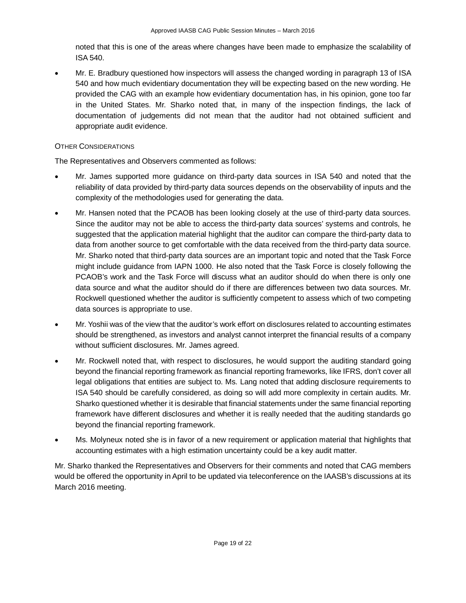noted that this is one of the areas where changes have been made to emphasize the scalability of ISA 540.

• Mr. E. Bradbury questioned how inspectors will assess the changed wording in paragraph 13 of ISA 540 and how much evidentiary documentation they will be expecting based on the new wording. He provided the CAG with an example how evidentiary documentation has, in his opinion, gone too far in the United States. Mr. Sharko noted that, in many of the inspection findings, the lack of documentation of judgements did not mean that the auditor had not obtained sufficient and appropriate audit evidence.

### OTHER CONSIDERATIONS

The Representatives and Observers commented as follows:

- Mr. James supported more guidance on third-party data sources in ISA 540 and noted that the reliability of data provided by third-party data sources depends on the observability of inputs and the complexity of the methodologies used for generating the data.
- Mr. Hansen noted that the PCAOB has been looking closely at the use of third-party data sources. Since the auditor may not be able to access the third-party data sources' systems and controls, he suggested that the application material highlight that the auditor can compare the third-party data to data from another source to get comfortable with the data received from the third-party data source. Mr. Sharko noted that third-party data sources are an important topic and noted that the Task Force might include guidance from IAPN 1000. He also noted that the Task Force is closely following the PCAOB's work and the Task Force will discuss what an auditor should do when there is only one data source and what the auditor should do if there are differences between two data sources. Mr. Rockwell questioned whether the auditor is sufficiently competent to assess which of two competing data sources is appropriate to use.
- Mr. Yoshii was of the view that the auditor's work effort on disclosures related to accounting estimates should be strengthened, as investors and analyst cannot interpret the financial results of a company without sufficient disclosures. Mr. James agreed.
- Mr. Rockwell noted that, with respect to disclosures, he would support the auditing standard going beyond the financial reporting framework as financial reporting frameworks, like IFRS, don't cover all legal obligations that entities are subject to. Ms. Lang noted that adding disclosure requirements to ISA 540 should be carefully considered, as doing so will add more complexity in certain audits. Mr. Sharko questioned whether it is desirable that financial statements under the same financial reporting framework have different disclosures and whether it is really needed that the auditing standards go beyond the financial reporting framework.
- Ms. Molyneux noted she is in favor of a new requirement or application material that highlights that accounting estimates with a high estimation uncertainty could be a key audit matter.

Mr. Sharko thanked the Representatives and Observers for their comments and noted that CAG members would be offered the opportunity in April to be updated via teleconference on the IAASB's discussions at its March 2016 meeting.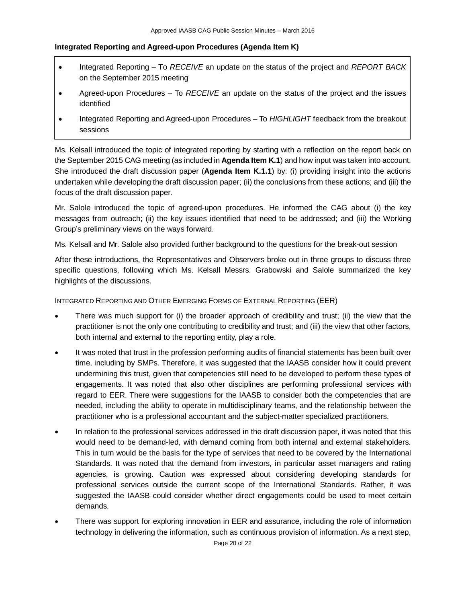### **Integrated Reporting and Agreed-upon Procedures (Agenda Item K)**

- Integrated Reporting To *RECEIVE* an update on the status of the project and *REPORT BACK* on the September 2015 meeting
- Agreed-upon Procedures To *RECEIVE* an update on the status of the project and the issues identified
- Integrated Reporting and Agreed-upon Procedures To *HIGHLIGHT* feedback from the breakout sessions

Ms. Kelsall introduced the topic of integrated reporting by starting with a reflection on the report back on the September 2015 CAG meeting (as included in **Agenda Item K.1**) and how input was taken into account. She introduced the draft discussion paper (**Agenda Item K.1.1**) by: (i) providing insight into the actions undertaken while developing the draft discussion paper; (ii) the conclusions from these actions; and (iii) the focus of the draft discussion paper.

Mr. Salole introduced the topic of agreed-upon procedures. He informed the CAG about (i) the key messages from outreach; (ii) the key issues identified that need to be addressed; and (iii) the Working Group's preliminary views on the ways forward.

Ms. Kelsall and Mr. Salole also provided further background to the questions for the break-out session

After these introductions, the Representatives and Observers broke out in three groups to discuss three specific questions, following which Ms. Kelsall Messrs. Grabowski and Salole summarized the key highlights of the discussions.

INTEGRATED REPORTING AND OTHER EMERGING FORMS OF EXTERNAL REPORTING (EER)

- There was much support for (i) the broader approach of credibility and trust; (ii) the view that the practitioner is not the only one contributing to credibility and trust; and (iii) the view that other factors, both internal and external to the reporting entity, play a role.
- It was noted that trust in the profession performing audits of financial statements has been built over time, including by SMPs. Therefore, it was suggested that the IAASB consider how it could prevent undermining this trust, given that competencies still need to be developed to perform these types of engagements. It was noted that also other disciplines are performing professional services with regard to EER. There were suggestions for the IAASB to consider both the competencies that are needed, including the ability to operate in multidisciplinary teams, and the relationship between the practitioner who is a professional accountant and the subject-matter specialized practitioners.
- In relation to the professional services addressed in the draft discussion paper, it was noted that this would need to be demand-led, with demand coming from both internal and external stakeholders. This in turn would be the basis for the type of services that need to be covered by the International Standards. It was noted that the demand from investors, in particular asset managers and rating agencies, is growing. Caution was expressed about considering developing standards for professional services outside the current scope of the International Standards. Rather, it was suggested the IAASB could consider whether direct engagements could be used to meet certain demands.
- There was support for exploring innovation in EER and assurance, including the role of information technology in delivering the information, such as continuous provision of information. As a next step,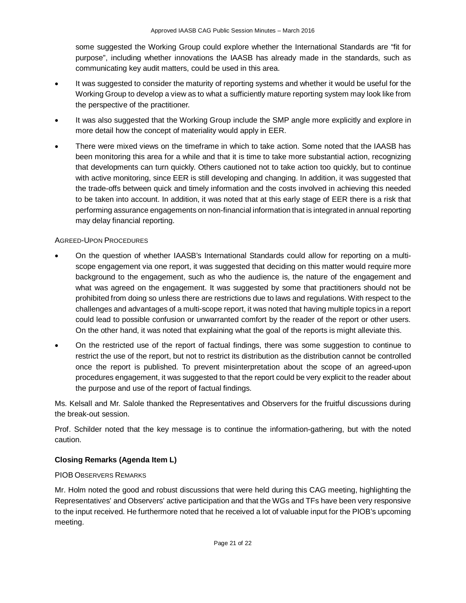some suggested the Working Group could explore whether the International Standards are "fit for purpose", including whether innovations the IAASB has already made in the standards, such as communicating key audit matters, could be used in this area.

- It was suggested to consider the maturity of reporting systems and whether it would be useful for the Working Group to develop a view as to what a sufficiently mature reporting system may look like from the perspective of the practitioner.
- It was also suggested that the Working Group include the SMP angle more explicitly and explore in more detail how the concept of materiality would apply in EER.
- There were mixed views on the timeframe in which to take action. Some noted that the IAASB has been monitoring this area for a while and that it is time to take more substantial action, recognizing that developments can turn quickly. Others cautioned not to take action too quickly, but to continue with active monitoring, since EER is still developing and changing. In addition, it was suggested that the trade-offs between quick and timely information and the costs involved in achieving this needed to be taken into account. In addition, it was noted that at this early stage of EER there is a risk that performing assurance engagements on non-financial information that is integrated in annual reporting may delay financial reporting.

# AGREED-UPON PROCEDURES

- On the question of whether IAASB's International Standards could allow for reporting on a multiscope engagement via one report, it was suggested that deciding on this matter would require more background to the engagement, such as who the audience is, the nature of the engagement and what was agreed on the engagement. It was suggested by some that practitioners should not be prohibited from doing so unless there are restrictions due to laws and regulations. With respect to the challenges and advantages of a multi-scope report, it was noted that having multiple topics in a report could lead to possible confusion or unwarranted comfort by the reader of the report or other users. On the other hand, it was noted that explaining what the goal of the reports is might alleviate this.
- On the restricted use of the report of factual findings, there was some suggestion to continue to restrict the use of the report, but not to restrict its distribution as the distribution cannot be controlled once the report is published. To prevent misinterpretation about the scope of an agreed-upon procedures engagement, it was suggested to that the report could be very explicit to the reader about the purpose and use of the report of factual findings.

Ms. Kelsall and Mr. Salole thanked the Representatives and Observers for the fruitful discussions during the break-out session.

Prof. Schilder noted that the key message is to continue the information-gathering, but with the noted caution.

# **Closing Remarks (Agenda Item L)**

# PIOB OBSERVERS REMARKS

Mr. Holm noted the good and robust discussions that were held during this CAG meeting, highlighting the Representatives' and Observers' active participation and that the WGs and TFs have been very responsive to the input received. He furthermore noted that he received a lot of valuable input for the PIOB's upcoming meeting.